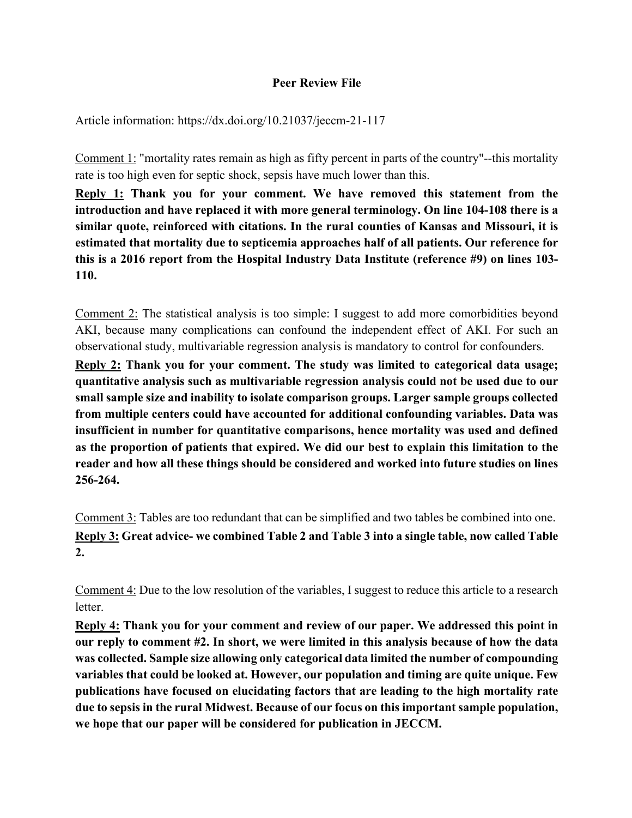## **Peer Review File**

Article information: https://dx.doi.org/10.21037/jeccm-21-117

Comment 1: "mortality rates remain as high as fifty percent in parts of the country"--this mortality rate is too high even for septic shock, sepsis have much lower than this.

**Reply 1: Thank you for your comment. We have removed this statement from the introduction and have replaced it with more general terminology. On line 104-108 there is a similar quote, reinforced with citations. In the rural counties of Kansas and Missouri, it is estimated that mortality due to septicemia approaches half of all patients. Our reference for this is a 2016 report from the Hospital Industry Data Institute (reference #9) on lines 103- 110.** 

Comment 2: The statistical analysis is too simple: I suggest to add more comorbidities beyond AKI, because many complications can confound the independent effect of AKI. For such an observational study, multivariable regression analysis is mandatory to control for confounders.

**Reply 2: Thank you for your comment. The study was limited to categorical data usage; quantitative analysis such as multivariable regression analysis could not be used due to our small sample size and inability to isolate comparison groups. Larger sample groups collected from multiple centers could have accounted for additional confounding variables. Data was insufficient in number for quantitative comparisons, hence mortality was used and defined as the proportion of patients that expired. We did our best to explain this limitation to the reader and how all these things should be considered and worked into future studies on lines 256-264.** 

Comment 3: Tables are too redundant that can be simplified and two tables be combined into one.  **Reply 3: Great advice- we combined Table 2 and Table 3 into a single table, now called Table 2.** 

Comment 4: Due to the low resolution of the variables, I suggest to reduce this article to a research letter.

**Reply 4: Thank you for your comment and review of our paper. We addressed this point in our reply to comment #2. In short, we were limited in this analysis because of how the data was collected. Sample size allowing only categorical data limited the number of compounding variables that could be looked at. However, our population and timing are quite unique. Few publications have focused on elucidating factors that are leading to the high mortality rate due to sepsis in the rural Midwest. Because of our focus on this important sample population, we hope that our paper will be considered for publication in JECCM.**